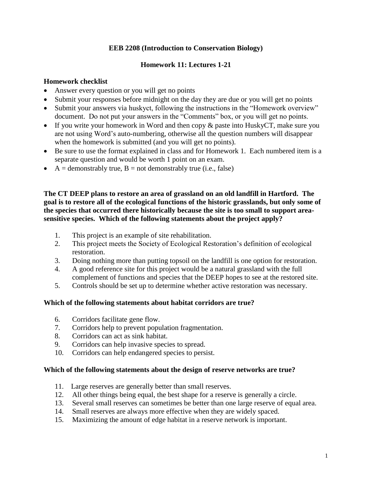## **EEB 2208 (Introduction to Conservation Biology)**

# **Homework 11: Lectures 1-21**

### **Homework checklist**

- Answer every question or you will get no points
- Submit your responses before midnight on the day they are due or you will get no points
- Submit your answers via huskyct, following the instructions in the "Homework overview" document. Do not put your answers in the "Comments" box, or you will get no points.
- If you write your homework in Word and then copy  $\&$  paste into HuskyCT, make sure you are not using Word's auto-numbering, otherwise all the question numbers will disappear when the homework is submitted (and you will get no points).
- Be sure to use the format explained in class and for Homework 1. Each numbered item is a separate question and would be worth 1 point on an exam.
- $\bullet$  A = demonstrably true, B = not demonstrably true (i.e., false)

**The CT DEEP plans to restore an area of grassland on an old landfill in Hartford. The goal is to restore all of the ecological functions of the historic grasslands, but only some of the species that occurred there historically because the site is too small to support areasensitive species. Which of the following statements about the project apply?** 

- 1. This project is an example of site rehabilitation.
- 2. This project meets the Society of Ecological Restoration's definition of ecological restoration.
- 3. Doing nothing more than putting topsoil on the landfill is one option for restoration.
- 4. A good reference site for this project would be a natural grassland with the full complement of functions and species that the DEEP hopes to see at the restored site.
- 5. Controls should be set up to determine whether active restoration was necessary.

### **Which of the following statements about habitat corridors are true?**

- 6. Corridors facilitate gene flow.
- 7. Corridors help to prevent population fragmentation.
- 8. Corridors can act as sink habitat.
- 9. Corridors can help invasive species to spread.
- 10. Corridors can help endangered species to persist.

### **Which of the following statements about the design of reserve networks are true?**

- 11. Large reserves are generally better than small reserves.
- 12. All other things being equal, the best shape for a reserve is generally a circle.
- 13. Several small reserves can sometimes be better than one large reserve of equal area.
- 14. Small reserves are always more effective when they are widely spaced.
- 15. Maximizing the amount of edge habitat in a reserve network is important.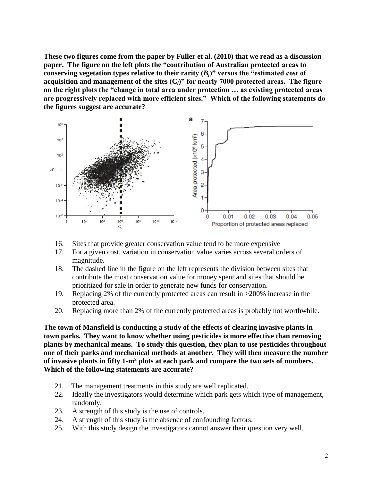**These two figures come from the paper by Fuller et al. (2010) that we read as a discussion paper. The figure on the left plots the "contribution of Australian protected areas to**  conserving vegetation types relative to their rarity  $(B_i)$ " versus the "estimated cost of **acquisition and management of the sites (C***j***)" for nearly 7000 protected areas. The figure on the right plots the "change in total area under protection … as existing protected areas are progressively replaced with more efficient sites." Which of the following statements do the figures suggest are accurate?**



- 16. Sites that provide greater conservation value tend to be more expensive
- 17. For a given cost, variation in conservation value varies across several orders of magnitude.
- 18. The dashed line in the figure on the left represents the division between sites that contribute the most conservation value for money spent and sites that should be prioritized for sale in order to generate new funds for conservation.
- 19. Replacing 2% of the currently protected areas can result in >200% increase in the protected area.
- 20. Replacing more than 2% of the currently protected areas is probably not worthwhile.

**The town of Mansfield is conducting a study of the effects of clearing invasive plants in town parks. They want to know whether using pesticides is more effective than removing plants by mechanical means. To study this question, they plan to use pesticides throughout one of their parks and mechanical methods at another. They will then measure the number of invasive plants in fifty 1-m<sup>2</sup> plots at each park and compare the two sets of numbers. Which of the following statements are accurate?**

- 21. The management treatments in this study are well replicated.
- 22. Ideally the investigators would determine which park gets which type of management, randomly.
- 23. A strength of this study is the use of controls.
- 24. A strength of this study is the absence of confounding factors.
- 25. With this study design the investigators cannot answer their question very well.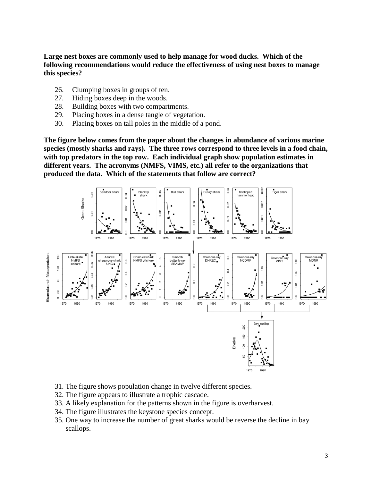**Large nest boxes are commonly used to help manage for wood ducks. Which of the following recommendations would reduce the effectiveness of using nest boxes to manage this species?** 

- 26. Clumping boxes in groups of ten.
- 27. Hiding boxes deep in the woods.
- 28. Building boxes with two compartments.
- 29. Placing boxes in a dense tangle of vegetation.
- 30. Placing boxes on tall poles in the middle of a pond.

**The figure below comes from the paper about the changes in abundance of various marine species (mostly sharks and rays). The three rows correspond to three levels in a food chain, with top predators in the top row. Each individual graph show population estimates in different years. The acronyms (NMFS, VIMS, etc.) all refer to the organizations that produced the data. Which of the statements that follow are correct?**



- 31. The figure shows population change in twelve different species.
- 32. The figure appears to illustrate a trophic cascade.
- 33. A likely explanation for the patterns shown in the figure is overharvest.
- 34. The figure illustrates the keystone species concept.
- 35. One way to increase the number of great sharks would be reverse the decline in bay scallops.